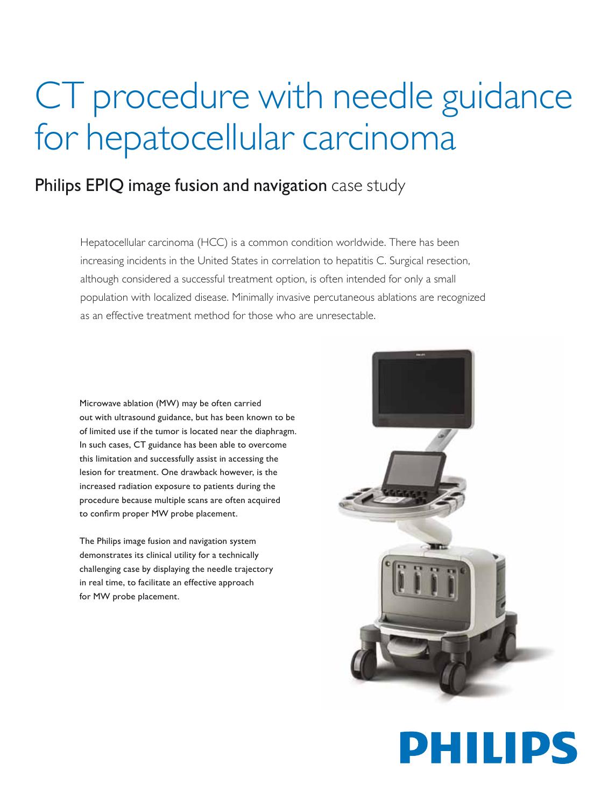## CT procedure with needle guidance for hepatocellular carcinoma

## Philips EPIQ image fusion and navigation case study

Hepatocellular carcinoma (HCC) is a common condition worldwide. There has been increasing incidents in the United States in correlation to hepatitis C. Surgical resection, although considered a successful treatment option, is often intended for only a small population with localized disease. Minimally invasive percutaneous ablations are recognized as an effective treatment method for those who are unresectable.

Microwave ablation (MW) may be often carried out with ultrasound guidance, but has been known to be of limited use if the tumor is located near the diaphragm. In such cases, CT guidance has been able to overcome this limitation and successfully assist in accessing the lesion for treatment. One drawback however, is the increased radiation exposure to patients during the procedure because multiple scans are often acquired to confirm proper MW probe placement.

The Philips image fusion and navigation system demonstrates its clinical utility for a technically challenging case by displaying the needle trajectory in real time, to facilitate an effective approach for MW probe placement.



## PHILIPS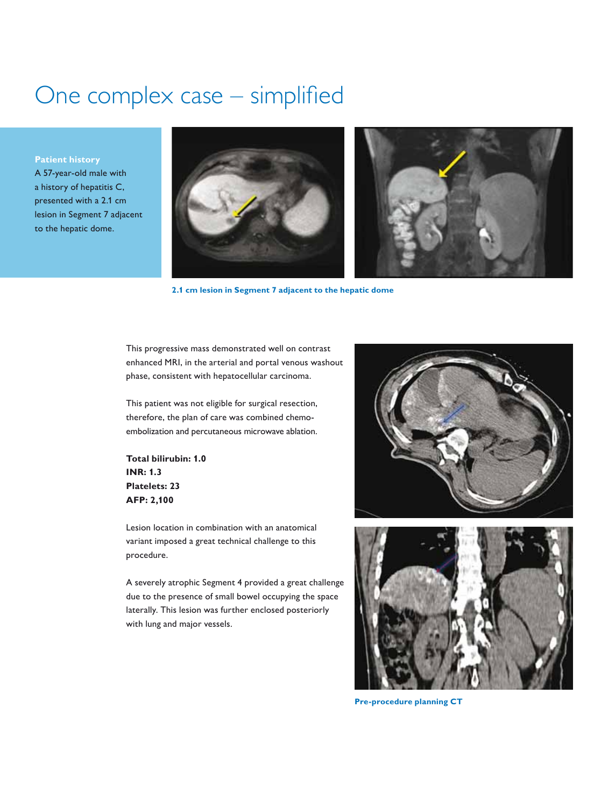## One complex case – simplified

**Patient history**

A 57-year-old male with a history of hepatitis C, presented with a 2.1 cm lesion in Segment 7 adjacent to the hepatic dome.



**2.1 cm lesion in Segment 7 adjacent to the hepatic dome**

This progressive mass demonstrated well on contrast enhanced MRI, in the arterial and portal venous washout phase, consistent with hepatocellular carcinoma.

This patient was not eligible for surgical resection, therefore, the plan of care was combined chemoembolization and percutaneous microwave ablation.

**Total bilirubin: 1.0 INR: 1.3 Platelets: 23 AFP: 2,100**

Lesion location in combination with an anatomical variant imposed a great technical challenge to this procedure.

A severely atrophic Segment 4 provided a great challenge due to the presence of small bowel occupying the space laterally. This lesion was further enclosed posteriorly with lung and major vessels.





**Pre-procedure planning CT**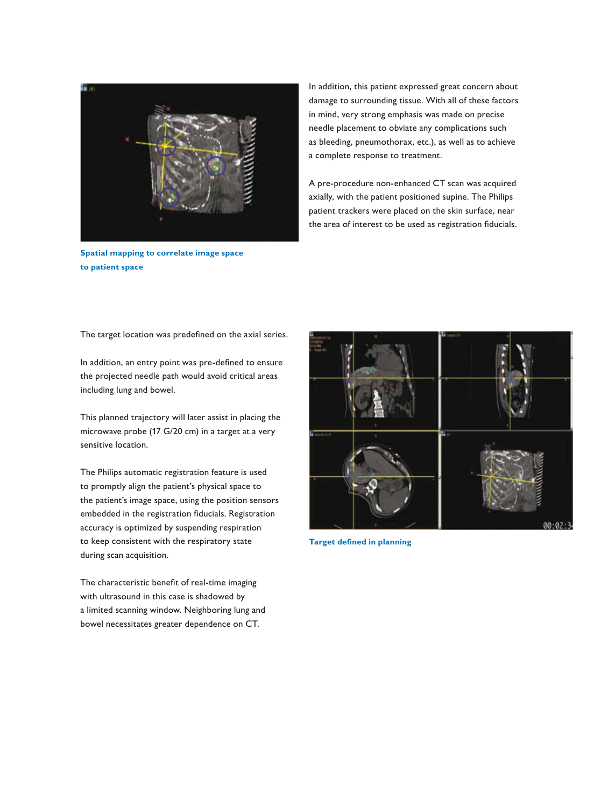

**Spatial mapping to correlate image space to patient space**

In addition, this patient expressed great concern about damage to surrounding tissue. With all of these factors in mind, very strong emphasis was made on precise needle placement to obviate any complications such as bleeding, pneumothorax, etc.), as well as to achieve a complete response to treatment.

A pre-procedure non-enhanced CT scan was acquired axially, with the patient positioned supine. The Philips patient trackers were placed on the skin surface, near the area of interest to be used as registration fiducials.

The target location was predefined on the axial series.

In addition, an entry point was pre-defined to ensure the projected needle path would avoid critical areas including lung and bowel.

This planned trajectory will later assist in placing the microwave probe (17 G/20 cm) in a target at a very sensitive location.

The Philips automatic registration feature is used to promptly align the patient's physical space to the patient's image space, using the position sensors embedded in the registration fiducials. Registration accuracy is optimized by suspending respiration to keep consistent with the respiratory state during scan acquisition.

The characteristic benefit of real-time imaging with ultrasound in this case is shadowed by a limited scanning window. Neighboring lung and bowel necessitates greater dependence on CT.



**Target defined in planning**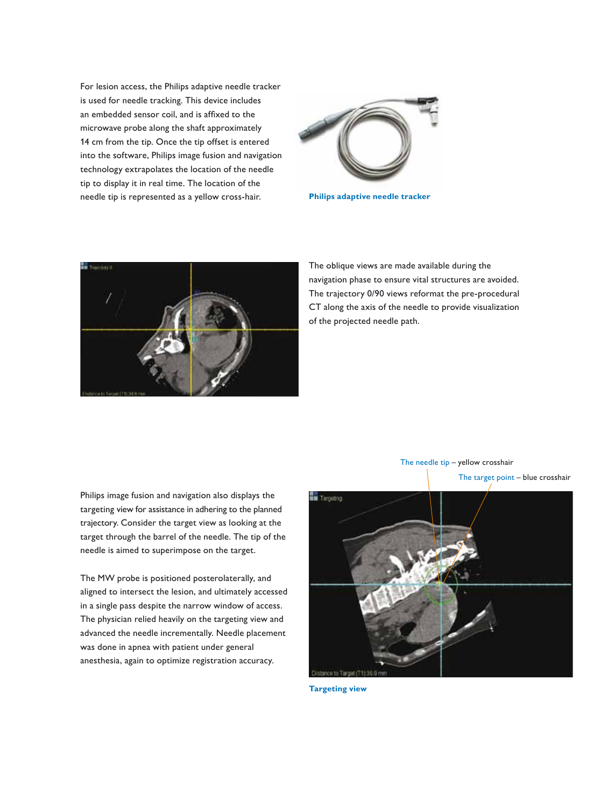For lesion access, the Philips adaptive needle tracker is used for needle tracking. This device includes an embedded sensor coil, and is affixed to the microwave probe along the shaft approximately 14 cm from the tip. Once the tip offset is entered into the software, Philips image fusion and navigation technology extrapolates the location of the needle tip to display it in real time. The location of the needle tip is represented as a yellow cross-hair.



**Philips adaptive needle tracker**



The oblique views are made available during the navigation phase to ensure vital structures are avoided. The trajectory 0/90 views reformat the pre-procedural CT along the axis of the needle to provide visualization of the projected needle path.

Philips image fusion and navigation also displays the targeting view for assistance in adhering to the planned trajectory. Consider the target view as looking at the target through the barrel of the needle. The tip of the needle is aimed to superimpose on the target.

The MW probe is positioned posterolaterally, and aligned to intersect the lesion, and ultimately accessed in a single pass despite the narrow window of access. The physician relied heavily on the targeting view and advanced the needle incrementally. Needle placement was done in apnea with patient under general anesthesia, again to optimize registration accuracy.



The target point – blue crosshair



**Targeting view**